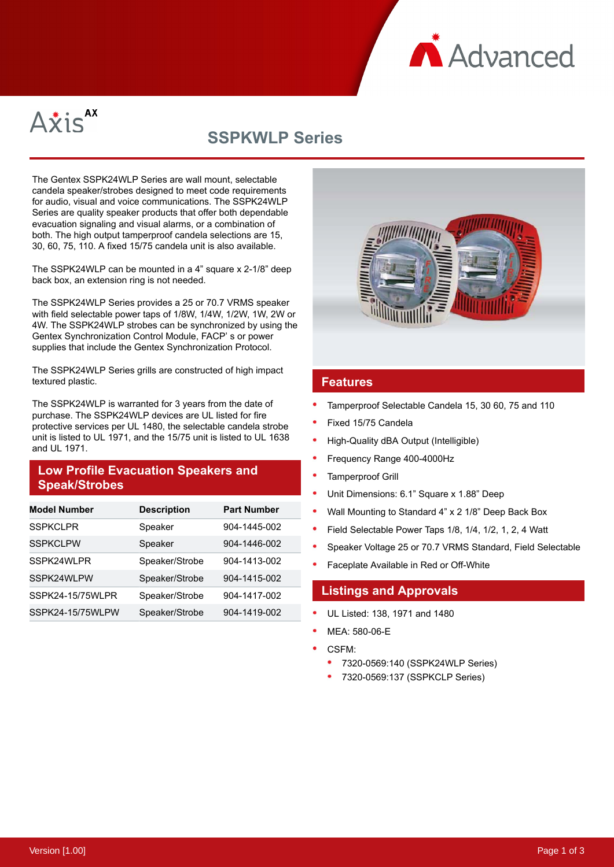



# **SSPKWLP Series**

The Gentex SSPK24WLP Series are wall mount, selectable candela speaker/strobes designed to meet code requirements for audio, visual and voice communications. The SSPK24WLP Series are quality speaker products that offer both dependable evacuation signaling and visual alarms, or a combination of both. The high output tamperproof candela selections are 15, 30, 60, 75, 110. A fixed 15/75 candela unit is also available.

The SSPK24WLP can be mounted in a 4" square x 2-1/8" deep back box, an extension ring is not needed.

The SSPK24WLP Series provides a 25 or 70.7 VRMS speaker with field selectable power taps of 1/8W, 1/4W, 1/2W, 1W, 2W or 4W. The SSPK24WLP strobes can be synchronized by using the Gentex Synchronization Control Module, FACP' s or power supplies that include the Gentex Synchronization Protocol.

The SSPK24WLP Series grills are constructed of high impact textured plastic.

The SSPK24WLP is warranted for 3 years from the date of purchase. The SSPK24WLP devices are UL listed for fire protective services per UL 1480, the selectable candela strobe unit is listed to UL 1971, and the 15/75 unit is listed to UL 1638 and UL 1971.

# **Low Profile Evacuation Speakers and Speak/Strobes**

| <b>Model Number</b> | <b>Description</b> | <b>Part Number</b> |
|---------------------|--------------------|--------------------|
| <b>SSPKCLPR</b>     | Speaker            | 904-1445-002       |
| <b>SSPKCLPW</b>     | Speaker            | 904-1446-002       |
| SSPK24WLPR          | Speaker/Strobe     | 904-1413-002       |
| SSPK24WLPW          | Speaker/Strobe     | 904-1415-002       |
| SSPK24-15/75WLPR    | Speaker/Strobe     | 904-1417-002       |
| SSPK24-15/75WLPW    | Speaker/Strobe     | 904-1419-002       |



### **Features**

- Tamperproof Selectable Candela 15, 30 60, 75 and 110
- Fixed 15/75 Candela
- High-Quality dBA Output (Intelligible)
- Frequency Range 400-4000Hz
- Tamperproof Grill
- Unit Dimensions: 6.1" Square x 1.88" Deep
- Wall Mounting to Standard 4" x 2 1/8" Deep Back Box
- Field Selectable Power Taps 1/8, 1/4, 1/2, 1, 2, 4 Watt
- Speaker Voltage 25 or 70.7 VRMS Standard, Field Selectable
- Faceplate Available in Red or Off-White

### **Listings and Approvals**

- UL Listed: 138, 1971 and 1480
- MEA: 580-06-E
- CSFM:
	- 7320-0569:140 (SSPK24WLP Series)
	- 7320-0569:137 (SSPKCLP Series)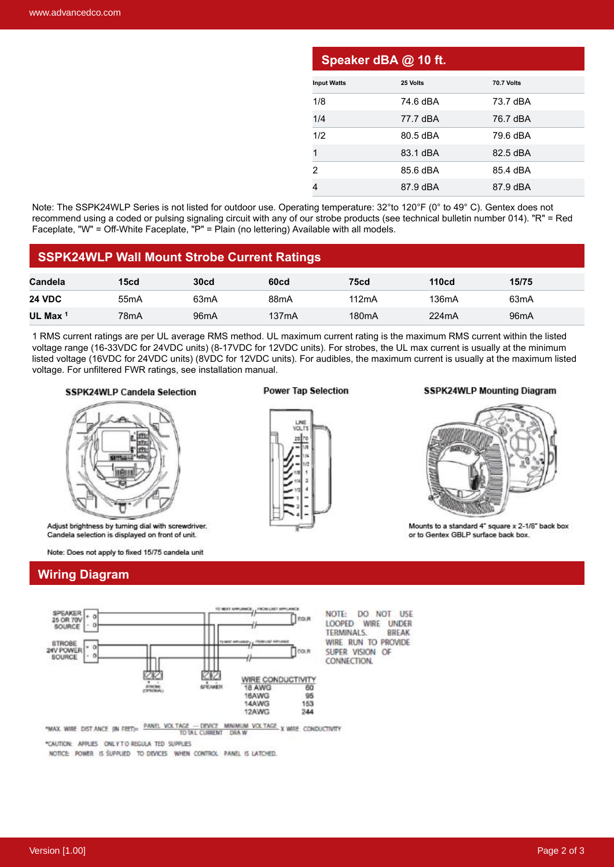| Speaker dBA @ 10 ft. |          |                   |  |  |  |  |
|----------------------|----------|-------------------|--|--|--|--|
| <b>Input Watts</b>   | 25 Volts | <b>70.7 Volts</b> |  |  |  |  |
| 1/8                  | 74.6 dBA | 73.7 dBA          |  |  |  |  |
| 1/4                  | 77.7 dBA | 76.7 dBA          |  |  |  |  |
| 1/2                  | 80.5 dBA | 79.6 dBA          |  |  |  |  |
| 1                    | 83.1 dBA | 82.5 dBA          |  |  |  |  |
| 2                    | 85.6 dBA | 85.4 dBA          |  |  |  |  |
|                      | 87.9 dBA | 87.9 dBA          |  |  |  |  |

Note: The SSPK24WLP Series is not listed for outdoor use. Operating temperature: 32°to 120°F (0° to 49° C). Gentex does not recommend using a coded or pulsing signaling circuit with any of our strobe products (see technical bulletin number 014). "R" = Red Faceplate, "W" = Off-White Faceplate, "P" = Plain (no lettering) Available with all models.

### **SSPK24WLP Wall Mount Strobe Current Ratings**

| Candela             | 15 <sub>cd</sub>  | <b>30cd</b>       | 60cd               | <b>75cd</b>        | <b>110cd</b> | 15/75             |
|---------------------|-------------------|-------------------|--------------------|--------------------|--------------|-------------------|
| <b>24 VDC</b>       | 55 <sub>m</sub> A | 63mA              | 88mA               | 112mA              | 136mA        | 63 <sub>m</sub> A |
| UL Max <sup>1</sup> | 78 <sub>m</sub> A | 96 <sub>m</sub> A | 137 <sub>m</sub> A | 180 <sub>m</sub> A | 224mA        | 96 <sub>m</sub> A |

1 RMS current ratings are per UL average RMS method. UL maximum current rating is the maximum RMS current within the listed voltage range (16-33VDC for 24VDC units) (8-17VDC for 12VDC units). For strobes, the UL max current is usually at the minimum listed voltage (16VDC for 24VDC units) (8VDC for 12VDC units). For audibles, the maximum current is usually at the maximum listed voltage. For unfiltered FWR ratings, see installation manual.

#### **SSPK24WLP Candela Selection**



Adjust brightness by turning dial with screwdriver. Candela selection is displayed on front of unit.

Note: Does not apply to fixed 15/75 candela unit

## **Wiring Diagram**



"MAX. WIRE DIST ANCE (IN FEET)=  $\frac{\text{PANEL VOL TAGE}}{\text{TO TAL CUBRENT}}$  DRAW

\*CAUTION: APPLIES ONLY TO REGULA TED SUPPLIES

NOTICE: POWER IS SUPPLIED TO DEVICES WHEN CONTROL PANEL IS LATCHED.

### **Power Tap Selection**



#### **SSPK24WLP Mounting Diagram**



Mounts to a standard 4" square x 2-1/8" back box or to Gentex GBLP surface back box.